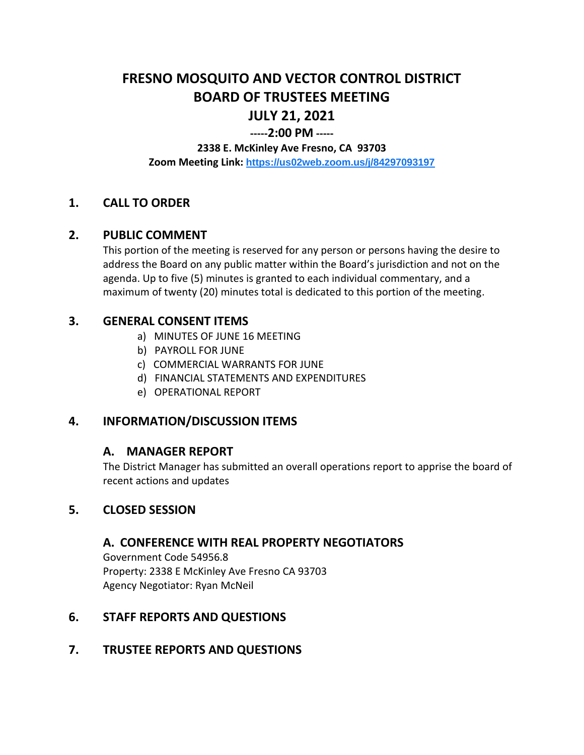# **FRESNO MOSQUITO AND VECTOR CONTROL DISTRICT BOARD OF TRUSTEES MEETING JULY 21, 2021**

# **-----2:00 PM -----**

#### **2338 E. McKinley Ave Fresno, CA 93703**

**Zoom Meeting Link: <https://us02web.zoom.us/j/84297093197>**

# **1. CALL TO ORDER**

#### **2. PUBLIC COMMENT**

This portion of the meeting is reserved for any person or persons having the desire to address the Board on any public matter within the Board's jurisdiction and not on the agenda. Up to five (5) minutes is granted to each individual commentary, and a maximum of twenty (20) minutes total is dedicated to this portion of the meeting.

#### **3. GENERAL CONSENT ITEMS**

- a) MINUTES OF JUNE 16 MEETING
- b) PAYROLL FOR JUNE
- c) COMMERCIAL WARRANTS FOR JUNE
- d) FINANCIAL STATEMENTS AND EXPENDITURES
- e) OPERATIONAL REPORT

# **4. INFORMATION/DISCUSSION ITEMS**

#### **A. MANAGER REPORT**

The District Manager has submitted an overall operations report to apprise the board of recent actions and updates

#### **5. CLOSED SESSION**

#### **A. CONFERENCE WITH REAL PROPERTY NEGOTIATORS**

Government Code 54956.8 Property: 2338 E McKinley Ave Fresno CA 93703 Agency Negotiator: Ryan McNeil

# **6. STAFF REPORTS AND QUESTIONS**

# **7. TRUSTEE REPORTS AND QUESTIONS**